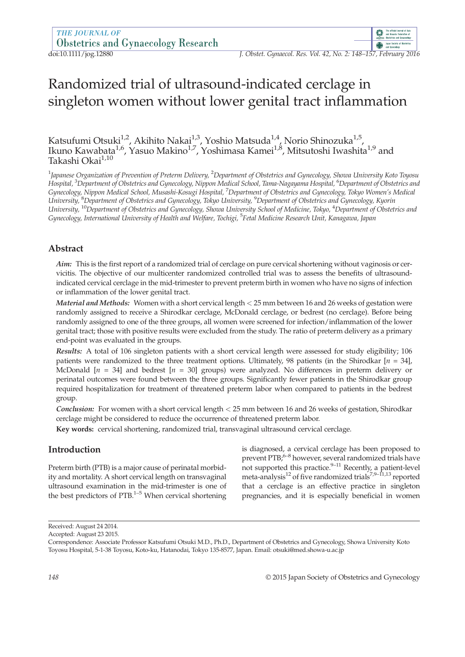# Randomized trial of ultrasound-indicated cerclage in singleton women without lower genital tract inflammation

Katsufumi Otsuki<sup>1,2</sup>, Akihito Nakai<sup>1,3</sup>, Yoshio Matsuda<sup>1,4</sup>, Norio Shinozuka<sup>1,5</sup>, Ikuno Kawabata<sup>1,6</sup>, Yasuo Makino<sup>1,7</sup>, Yoshimasa Kamei<sup>1,8</sup>, Mitsutoshi Iwashita<sup>1,9</sup> and Takashi Okai<sup>1,10</sup>

 $^1$ Japanese Organization of Prevention of Preterm Delivery,  $^2$ Department of Obstetrics and Gynecology, Showa University Koto Toyosu Hospital, <sup>3</sup>Department of Obstetrics and Gynecology, Nippon Medical School, Tama-Nagayama Hospital, <sup>6</sup>Department of Obstetrics and Gynecology, Nippon Medical School, Musashi-Kosugi Hospital, <sup>7</sup> Department of Obstetrics and Gynecology, Tokyo Women's Medical University, <sup>8</sup>Department of Obstetrics and Gynecology, Tokyo University, <sup>9</sup>Department of Obstetrics and Gynecology, Kyorin University, <sup>10</sup>Department of Obstetrics and Gynecology, Showa University School of Medicine, Tokyo, <sup>4</sup>Department of Obstetrics and Gynecology, International University of Health and Welfare, Tochigi, <sup>5</sup>Fetal Medicine Research Unit, Kanagawa, Japan

# Abstract

Aim: This is the first report of a randomized trial of cerclage on pure cervical shortening without vaginosis or cervicitis. The objective of our multicenter randomized controlled trial was to assess the benefits of ultrasoundindicated cervical cerclage in the mid-trimester to prevent preterm birth in women who have no signs of infection or inflammation of the lower genital tract.

Material and Methods: Women with a short cervical length < 25 mm between 16 and 26 weeks of gestation were randomly assigned to receive a Shirodkar cerclage, McDonald cerclage, or bedrest (no cerclage). Before being randomly assigned to one of the three groups, all women were screened for infection/inflammation of the lower genital tract; those with positive results were excluded from the study. The ratio of preterm delivery as a primary end-point was evaluated in the groups.

Results: A total of 106 singleton patients with a short cervical length were assessed for study eligibility; 106 patients were randomized to the three treatment options. Ultimately, 98 patients (in the Shirodkar  $[n = 34]$ , McDonald  $[n = 34]$  and bedrest  $[n = 30]$  groups) were analyzed. No differences in preterm delivery or perinatal outcomes were found between the three groups. Significantly fewer patients in the Shirodkar group required hospitalization for treatment of threatened preterm labor when compared to patients in the bedrest group.

Conclusion: For women with a short cervical length < 25 mm between 16 and 26 weeks of gestation, Shirodkar cerclage might be considered to reduce the occurrence of threatened preterm labor.

Key words: cervical shortening, randomized trial, transvaginal ultrasound cervical cerclage.

# Introduction

Preterm birth (PTB) is a major cause of perinatal morbidity and mortality. A short cervical length on transvaginal ultrasound examination in the mid-trimester is one of the best predictors of  $PTB$ .<sup>1–5</sup> When cervical shortening is diagnosed, a cervical cerclage has been proposed to prevent PTB;<sup>6–8</sup> however, several randomized trials have not supported this practice. $9-11$  Recently, a patient-level meta-analysis<sup>12</sup> of five randomized trials<sup>7,9–11,13</sup> reported that a cerclage is an effective practice in singleton pregnancies, and it is especially beneficial in women

Accepted: August 23 2015.

Received: August 24 2014.

Correspondence: Associate Professor Katsufumi Otsuki M.D., Ph.D., Department of Obstetrics and Gynecology, Showa University Koto Toyosu Hospital, 5-1-38 Toyosu, Koto-ku, Hatanodai, Tokyo 135-8577, Japan. Email: otsuki@med.showa-u.ac.jp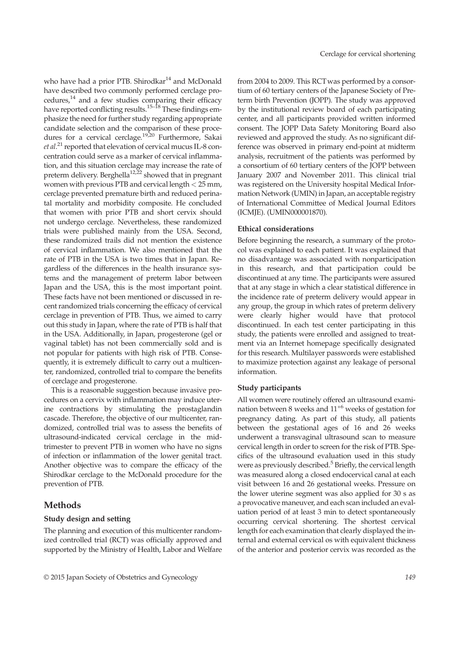who have had a prior PTB. Shirodkar<sup>14</sup> and McDonald have described two commonly performed cerclage pro $c$ edures, $^{14}$  and a few studies comparing their efficacy have reported conflicting results.<sup>15–18</sup> These findings emphasize the need for further study regarding appropriate candidate selection and the comparison of these procedures for a cervical cerclage.<sup>19,20</sup> Furthermore, Sakai et al.<sup>21</sup> reported that elevation of cervical mucus IL-8 concentration could serve as a marker of cervical inflammation, and this situation cerclage may increase the rate of preterm delivery. Berghella<sup>12,22</sup> showed that in pregnant women with previous PTB and cervical length < 25 mm, cerclage prevented premature birth and reduced perinatal mortality and morbidity composite. He concluded that women with prior PTB and short cervix should not undergo cerclage. Nevertheless, these randomized trials were published mainly from the USA. Second, these randomized trails did not mention the existence of cervical inflammation. We also mentioned that the rate of PTB in the USA is two times that in Japan. Regardless of the differences in the health insurance systems and the management of preterm labor between Japan and the USA, this is the most important point. These facts have not been mentioned or discussed in recent randomized trials concerning the efficacy of cervical cerclage in prevention of PTB. Thus, we aimed to carry out this study in Japan, where the rate of PTB is half that in the USA. Additionally, in Japan, progesterone (gel or vaginal tablet) has not been commercially sold and is not popular for patients with high risk of PTB. Consequently, it is extremely difficult to carry out a multicenter, randomized, controlled trial to compare the benefits of cerclage and progesterone.

This is a reasonable suggestion because invasive procedures on a cervix with inflammation may induce uterine contractions by stimulating the prostaglandin cascade. Therefore, the objective of our multicenter, randomized, controlled trial was to assess the benefits of ultrasound-indicated cervical cerclage in the midtrimester to prevent PTB in women who have no signs of infection or inflammation of the lower genital tract. Another objective was to compare the efficacy of the Shirodkar cerclage to the McDonald procedure for the prevention of PTB.

# Methods

# Study design and setting

The planning and execution of this multicenter randomized controlled trial (RCT) was officially approved and supported by the Ministry of Health, Labor and Welfare from 2004 to 2009. This RCTwas performed by a consortium of 60 tertiary centers of the Japanese Society of Preterm birth Prevention (JOPP). The study was approved by the institutional review board of each participating center, and all participants provided written informed consent. The JOPP Data Safety Monitoring Board also reviewed and approved the study. As no significant difference was observed in primary end-point at midterm analysis, recruitment of the patients was performed by a consortium of 60 tertiary centers of the JOPP between January 2007 and November 2011. This clinical trial was registered on the University hospital Medical Information Network (UMIN) in Japan, an acceptable registry of International Committee of Medical Journal Editors (ICMJE). (UMIN000001870).

#### Ethical considerations

Before beginning the research, a summary of the protocol was explained to each patient. It was explained that no disadvantage was associated with nonparticipation in this research, and that participation could be discontinued at any time. The participants were assured that at any stage in which a clear statistical difference in the incidence rate of preterm delivery would appear in any group, the group in which rates of preterm delivery were clearly higher would have that protocol discontinued. In each test center participating in this study, the patients were enrolled and assigned to treatment via an Internet homepage specifically designated for this research. Multilayer passwords were established to maximize protection against any leakage of personal information.

#### Study participants

All women were routinely offered an ultrasound examination between 8 weeks and  $11^{+6}$  weeks of gestation for pregnancy dating. As part of this study, all patients between the gestational ages of 16 and 26 weeks underwent a transvaginal ultrasound scan to measure cervical length in order to screen for the risk of PTB. Specifics of the ultrasound evaluation used in this study were as previously described.<sup>5</sup> Briefly, the cervical length was measured along a closed endocervical canal at each visit between 16 and 26 gestational weeks. Pressure on the lower uterine segment was also applied for 30 s as a provocative maneuver, and each scan included an evaluation period of at least 3 min to detect spontaneously occurring cervical shortening. The shortest cervical length for each examination that clearly displayed the internal and external cervical os with equivalent thickness of the anterior and posterior cervix was recorded as the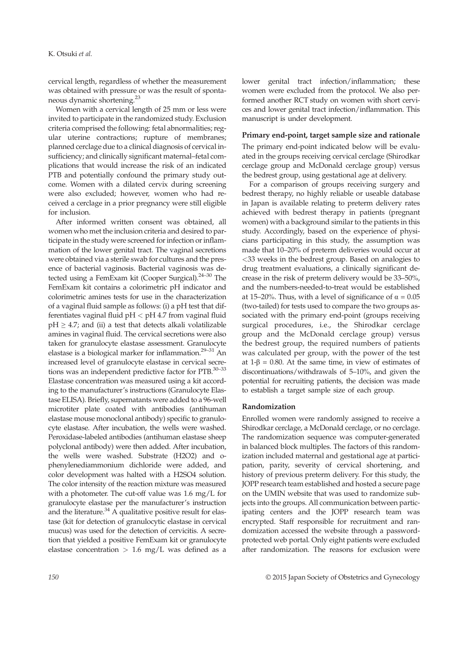cervical length, regardless of whether the measurement was obtained with pressure or was the result of spontaneous dynamic shortening.23

Women with a cervical length of 25 mm or less were invited to participate in the randomized study. Exclusion criteria comprised the following: fetal abnormalities; regular uterine contractions; rupture of membranes; planned cerclage due to a clinical diagnosis of cervical insufficiency; and clinically significant maternal–fetal complications that would increase the risk of an indicated PTB and potentially confound the primary study outcome. Women with a dilated cervix during screening were also excluded; however, women who had received a cerclage in a prior pregnancy were still eligible for inclusion.

After informed written consent was obtained, all women who met the inclusion criteria and desired to participate in the study were screened for infection or inflammation of the lower genital tract. The vaginal secretions were obtained via a sterile swab for cultures and the presence of bacterial vaginosis. Bacterial vaginosis was detected using a FemExam kit (Cooper Surgical).<sup>24–30</sup> The FemExam kit contains a colorimetric pH indicator and colorimetric amines tests for use in the characterization of a vaginal fluid sample as follows: (i) a pH test that differentiates vaginal fluid pH < pH 4.7 from vaginal fluid  $pH \geq 4.7$ ; and (ii) a test that detects alkali volatilizable amines in vaginal fluid. The cervical secretions were also taken for granulocyte elastase assessment. Granulocyte elastase is a biological marker for inflammation. $29-31$  An increased level of granulocyte elastase in cervical secretions was an independent predictive factor for PTB.30–<sup>33</sup> Elastase concentration was measured using a kit according to the manufacturer's instructions (Granulocyte Elastase ELISA). Briefly, supernatants were added to a 96-well microtiter plate coated with antibodies (antihuman elastase mouse monoclonal antibody) specific to granulocyte elastase. After incubation, the wells were washed. Peroxidase-labeled antibodies (antihuman elastase sheep polyclonal antibody) were then added. After incubation, the wells were washed. Substrate (H2O2) and ophenylenediammonium dichloride were added, and color development was halted with a H2SO4 solution. The color intensity of the reaction mixture was measured with a photometer. The cut-off value was 1.6 mg/L for granulocyte elastase per the manufacturer's instruction and the literature.<sup>34</sup> A qualitative positive result for elastase (kit for detection of granulocytic elastase in cervical mucus) was used for the detection of cervicitis. A secretion that yielded a positive FemExam kit or granulocyte elastase concentration  $> 1.6$  mg/L was defined as a lower genital tract infection/inflammation; these women were excluded from the protocol. We also performed another RCT study on women with short cervices and lower genital tract infection/inflammation. This manuscript is under development.

#### Primary end-point, target sample size and rationale

The primary end-point indicated below will be evaluated in the groups receiving cervical cerclage (Shirodkar cerclage group and McDonald cerclage group) versus the bedrest group, using gestational age at delivery.

For a comparison of groups receiving surgery and bedrest therapy, no highly reliable or useable database in Japan is available relating to preterm delivery rates achieved with bedrest therapy in patients (pregnant women) with a background similar to the patients in this study. Accordingly, based on the experience of physicians participating in this study, the assumption was made that 10–20% of preterm deliveries would occur at <33 weeks in the bedrest group. Based on analogies to drug treatment evaluations, a clinically significant decrease in the risk of preterm delivery would be 33–50%, and the numbers-needed-to-treat would be established at 15–20%. Thus, with a level of significance of  $α = 0.05$ (two-tailed) for tests used to compare the two groups associated with the primary end-point (groups receiving surgical procedures, i.e., the Shirodkar cerclage group and the McDonald cerclage group) versus the bedrest group, the required numbers of patients was calculated per group, with the power of the test at 1-β = 0.80. At the same time, in view of estimates of discontinuations/withdrawals of 5–10%, and given the potential for recruiting patients, the decision was made to establish a target sample size of each group.

#### Randomization

Enrolled women were randomly assigned to receive a Shirodkar cerclage, a McDonald cerclage, or no cerclage. The randomization sequence was computer-generated in balanced block multiples. The factors of this randomization included maternal and gestational age at participation, parity, severity of cervical shortening, and history of previous preterm delivery. For this study, the JOPP research team established and hosted a secure page on the UMIN website that was used to randomize subjects into the groups. All communication between participating centers and the JOPP research team was encrypted. Staff responsible for recruitment and randomization accessed the website through a passwordprotected web portal. Only eight patients were excluded after randomization. The reasons for exclusion were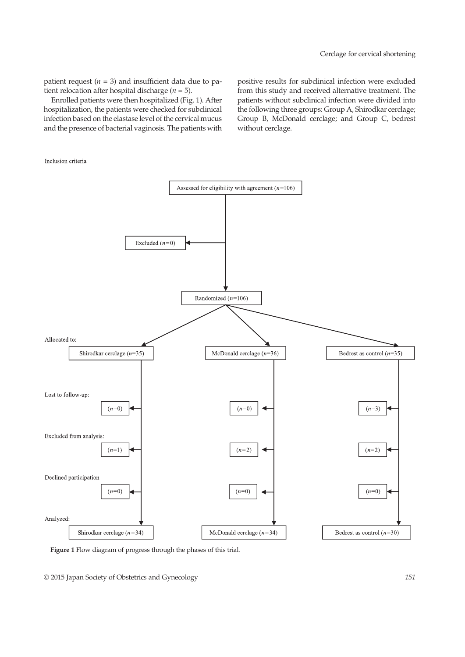patient request ( $n = 3$ ) and insufficient data due to patient relocation after hospital discharge ( $n = 5$ ).

Enrolled patients were then hospitalized (Fig. 1). After hospitalization, the patients were checked for subclinical infection based on the elastase level of the cervical mucus and the presence of bacterial vaginosis. The patients with positive results for subclinical infection were excluded from this study and received alternative treatment. The patients without subclinical infection were divided into the following three groups: Group A, Shirodkar cerclage; Group B, McDonald cerclage; and Group C, bedrest without cerclage.

Inclusion criteria



Figure 1 Flow diagram of progress through the phases of this trial.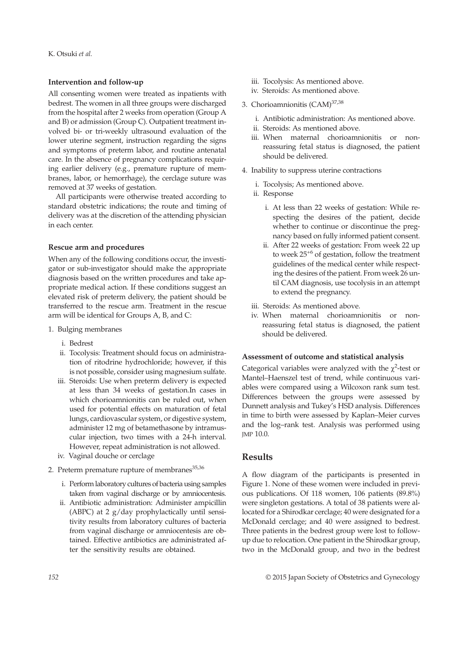#### Intervention and follow-up

All consenting women were treated as inpatients with bedrest. The women in all three groups were discharged from the hospital after 2 weeks from operation (Group A and B) or admission (Group C). Outpatient treatment involved bi- or tri-weekly ultrasound evaluation of the lower uterine segment, instruction regarding the signs and symptoms of preterm labor, and routine antenatal care. In the absence of pregnancy complications requiring earlier delivery (e.g., premature rupture of membranes, labor, or hemorrhage), the cerclage suture was removed at 37 weeks of gestation.

All participants were otherwise treated according to standard obstetric indications; the route and timing of delivery was at the discretion of the attending physician in each center.

#### Rescue arm and procedures

When any of the following conditions occur, the investigator or sub-investigator should make the appropriate diagnosis based on the written procedures and take appropriate medical action. If these conditions suggest an elevated risk of preterm delivery, the patient should be transferred to the rescue arm. Treatment in the rescue arm will be identical for Groups A, B, and C:

- 1. Bulging membranes
	- i. Bedrest
	- ii. Tocolysis: Treatment should focus on administration of ritodrine hydrochloride; however, if this is not possible, consider using magnesium sulfate.
	- iii. Steroids: Use when preterm delivery is expected at less than 34 weeks of gestation.In cases in which chorioamnionitis can be ruled out, when used for potential effects on maturation of fetal lungs, cardiovascular system, or digestive system, administer 12 mg of betamethasone by intramuscular injection, two times with a 24-h interval. However, repeat administration is not allowed.
	- iv. Vaginal douche or cerclage
- 2. Preterm premature rupture of membranes $35,36$ 
	- i. Performlaboratory cultures of bacteria using samples taken from vaginal discharge or by amniocentesis.
	- ii. Antibiotic administration: Administer ampicillin (ABPC) at 2 g/day prophylactically until sensitivity results from laboratory cultures of bacteria from vaginal discharge or amniocentesis are obtained. Effective antibiotics are administrated after the sensitivity results are obtained.
- iii. Tocolysis: As mentioned above.
- iv. Steroids: As mentioned above.
- 3. Chorioamnionitis (CAM)<sup>37,38</sup>
	- i. Antibiotic administration: As mentioned above.
	- ii. Steroids: As mentioned above.
	- iii. When maternal chorioamnionitis or nonreassuring fetal status is diagnosed, the patient should be delivered.
- 4. Inability to suppress uterine contractions
	- i. Tocolysis; As mentioned above.
	- ii. Response
		- i. At less than 22 weeks of gestation: While respecting the desires of the patient, decide whether to continue or discontinue the pregnancy based on fully informed patient consent.
		- ii. After 22 weeks of gestation: From week 22 up to week 25+6 of gestation, follow the treatment guidelines of the medical center while respecting the desires of the patient. From week 26 until CAM diagnosis, use tocolysis in an attempt to extend the pregnancy.
	- iii. Steroids: As mentioned above.
	- iv. When maternal chorioamnionitis or nonreassuring fetal status is diagnosed, the patient should be delivered.

#### Assessment of outcome and statistical analysis

Categorical variables were analyzed with the  $\chi^2$ -test or Mantel–Haenszel test of trend, while continuous variables were compared using a Wilcoxon rank sum test. Differences between the groups were assessed by Dunnett analysis and Tukey's HSD analysis. Differences in time to birth were assessed by Kaplan–Meier curves and the log–rank test. Analysis was performed using JMP 10.0.

### Results

A flow diagram of the participants is presented in Figure 1. None of these women were included in previous publications. Of 118 women, 106 patients (89.8%) were singleton gestations. A total of 38 patients were allocated for a Shirodkar cerclage; 40 were designated for a McDonald cerclage; and 40 were assigned to bedrest. Three patients in the bedrest group were lost to followup due to relocation. One patient in the Shirodkar group, two in the McDonald group, and two in the bedrest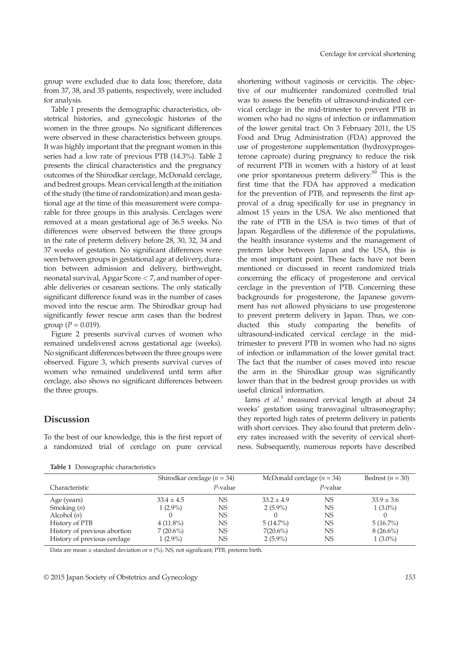group were excluded due to data loss; therefore, data from 37, 38, and 35 patients, respectively, were included for analysis.

Table 1 presents the demographic characteristics, obstetrical histories, and gynecologic histories of the women in the three groups. No significant differences were observed in these characteristics between groups. It was highly important that the pregnant women in this series had a low rate of previous PTB (14.3%). Table 2 presents the clinical characteristics and the pregnancy outcomes of the Shirodkar cerclage, McDonald cerclage, and bedrest groups. Mean cervical length at the initiation of the study (the time of randomization) and mean gestational age at the time of this measurement were comparable for three groups in this analysis. Cerclages were removed at a mean gestational age of 36.5 weeks. No differences were observed between the three groups in the rate of preterm delivery before 28, 30, 32, 34 and 37 weeks of gestation. No significant differences were seen between groups in gestational age at delivery, duration between admission and delivery, birthweight, neonatal survival, Apgar Score < 7, and number of operable deliveries or cesarean sections. The only statically significant difference found was in the number of cases moved into the rescue arm. The Shirodkar group had significantly fewer rescue arm cases than the bedrest group ( $P = 0.019$ ).

Figure 2 presents survival curves of women who remained undelivered across gestational age (weeks). No significant differences between the three groups were observed. Figure 3, which presents survival curves of women who remained undelivered until term after cerclage, also shows no significant differences between the three groups.

# Discussion

To the best of our knowledge, this is the first report of a randomized trial of cerclage on pure cervical

Table 1 Demographic characteristics

shortening without vaginosis or cervicitis. The objective of our multicenter randomized controlled trial was to assess the benefits of ultrasound-indicated cervical cerclage in the mid-trimester to prevent PTB in women who had no signs of infection or inflammation of the lower genital tract. On 3 February 2011, the US Food and Drug Administration (FDA) approved the use of progesterone supplementation (hydroxyprogesterone caproate) during pregnancy to reduce the risk of recurrent PTB in women with a history of at least one prior spontaneous preterm delivery.<sup>39</sup> This is the first time that the FDA has approved a medication for the prevention of PTB, and represents the first approval of a drug specifically for use in pregnancy in almost 15 years in the USA. We also mentioned that the rate of PTB in the USA is two times of that of Japan. Regardless of the difference of the populations, the health insurance systems and the management of preterm labor between Japan and the USA, this is the most important point. These facts have not been mentioned or discussed in recent randomized trials concerning the efficacy of progesterone and cervical cerclage in the prevention of PTB. Concerning these backgrounds for progesterone, the Japanese government has not allowed physicians to use progesterone to prevent preterm delivery in Japan. Thus, we conducted this study comparing the benefits of ultrasound-indicated cervical cerclage in the midtrimester to prevent PTB in women who had no signs of infection or inflammation of the lower genital tract. The fact that the number of cases moved into rescue the arm in the Shirodkar group was significantly lower than that in the bedrest group provides us with useful clinical information.

Iams et  $al$ <sup>1</sup> measured cervical length at about 24 weeks' gestation using transvaginal ultrasonography; they reported high rates of preterm delivery in patients with short cervices. They also found that preterm delivery rates increased with the severity of cervical shortness. Subsequently, numerous reports have described

|                              | Shirodkar cerclage $(n = 34)$ |            | McDonald cerclage $(n = 34)$ |            | Bedrest $(n = 30)$ |
|------------------------------|-------------------------------|------------|------------------------------|------------|--------------------|
| Characteristic               |                               | $P$ -value |                              | $P$ -value |                    |
| Age (years)                  | $33.4 \pm 4.5$                | NS         | $33.2 \pm 4.9$               | NS         | $33.9 \pm 3.6$     |
| Smoking $(n)$                | $1(2.9\%)$                    | NS         | $2(5.9\%)$                   | NS         | $1(3.0\%)$         |
| Alcohol $(n)$                |                               | NS         |                              | NS         |                    |
| History of PTB               | $4(11.8\%)$                   | NS         | $5(14.7\%)$                  | NS         | $5(16.7\%)$        |
| History of previous abortion | $7(20.6\%)$                   | NS         | $7(20.6\%)$                  | NS         | $8(26.6\%)$        |
| History of previous cerclage | $1(2.9\%)$                    | NS         | $2(5.9\%)$                   | NS         | $1(3.0\%)$         |

Data are mean ± standard deviation or n (%). NS, not significant; PTB, preterm birth.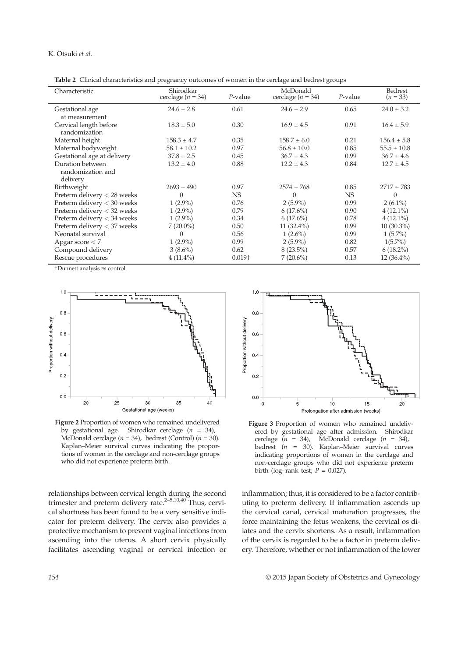#### K. Otsuki et al.

Table 2 Clinical characteristics and pregnancy outcomes of women in the cerclage and bedrest groups

| Characteristic                                    | Shirodkar<br>cerclage $(n = 34)$ | $P$ -value | McDonald<br>cerclage $(n = 34)$ | $P$ -value | Bedrest<br>$(n = 33)$ |
|---------------------------------------------------|----------------------------------|------------|---------------------------------|------------|-----------------------|
| Gestational age<br>at measurement                 | $24.6 \pm 2.8$                   | 0.61       | $24.6 \pm 2.9$                  | 0.65       | $24.0 \pm 3.2$        |
| Cervical length before<br>randomization           | $18.3 \pm 5.0$                   | 0.30       | $16.9 \pm 4.5$                  | 0.91       | $16.4 \pm 5.9$        |
| Maternal height                                   | $158.3 \pm 4.7$                  | 0.35       | $158.7 \pm 6.0$                 | 0.21       | $156.4 \pm 5.8$       |
| Maternal bodyweight                               | $58.1 \pm 10.2$                  | 0.97       | $56.8 \pm 10.0$                 | 0.85       | $55.5 \pm 10.8$       |
| Gestational age at delivery                       | $37.8 \pm 2.5$                   | 0.45       | $36.7 \pm 4.3$                  | 0.99       | $36.7 \pm 4.6$        |
| Duration between<br>randomization and<br>delivery | $13.2 \pm 4.0$                   | 0.88       | $12.2 \pm 4.3$                  | 0.84       | $12.7 \pm 4.5$        |
| Birthweight                                       | $2693 \pm 490$                   | 0.97       | $2574 \pm 768$                  | 0.85       | $2717 \pm 783$        |
| Preterm delivery < 28 weeks                       | $\theta$                         | NS.        | $\Omega$                        | NS.        | $\Omega$              |
| Preterm delivery $<$ 30 weeks                     | $1(2.9\%)$                       | 0.76       | $2(5.9\%)$                      | 0.99       | $2(6.1\%)$            |
| Preterm delivery $<$ 32 weeks                     | $1(2.9\%)$                       | 0.79       | $6(17.6\%)$                     | 0.90       | $4(12.1\%)$           |
| Preterm delivery $<$ 34 weeks                     | $1(2.9\%)$                       | 0.34       | $6(17.6\%)$                     | 0.78       | $4(12.1\%)$           |
| Preterm delivery < 37 weeks                       | $7(20.0\%)$                      | 0.50       | 11 $(32.4\%)$                   | 0.99       | $10(30.3\%)$          |
| Neonatal survival                                 | 0                                | 0.56       | $1(2.6\%)$                      | 0.99       | $1(5.7\%)$            |
| Apgar score $<$ 7                                 | $1(2.9\%)$                       | 0.99       | $2(5.9\%)$                      | 0.82       | $1(5.7\%)$            |
| Compound delivery                                 | $3(8.6\%)$                       | 0.62       | $8(23.5\%)$                     | 0.57       | $6(18.2\%)$           |
| Rescue procedures                                 | $4(11.4\%)$                      | $0.019+$   | $7(20.6\%)$                     | 0.13       | $12(36.4\%)$          |

†Dunnett analysis vs control.



Figure 2 Proportion of women who remained undelivered by gestational age. Shirodkar cerclage  $(n = 34)$ , McDonald cerclage ( $n = 34$ ), bedrest (Control) ( $n = 30$ ). Kaplan–Meier survival curves indicating the proportions of women in the cerclage and non-cerclage groups who did not experience preterm birth.

relationships between cervical length during the second trimester and preterm delivery rate.<sup>2-5,10,40</sup> Thus, cervical shortness has been found to be a very sensitive indicator for preterm delivery. The cervix also provides a protective mechanism to prevent vaginal infections from ascending into the uterus. A short cervix physically facilitates ascending vaginal or cervical infection or





inflammation; thus, it is considered to be a factor contributing to preterm delivery. If inflammation ascends up the cervical canal, cervical maturation progresses, the force maintaining the fetus weakens, the cervical os dilates and the cervix shortens. As a result, inflammation of the cervix is regarded to be a factor in preterm delivery. Therefore, whether or not inflammation of the lower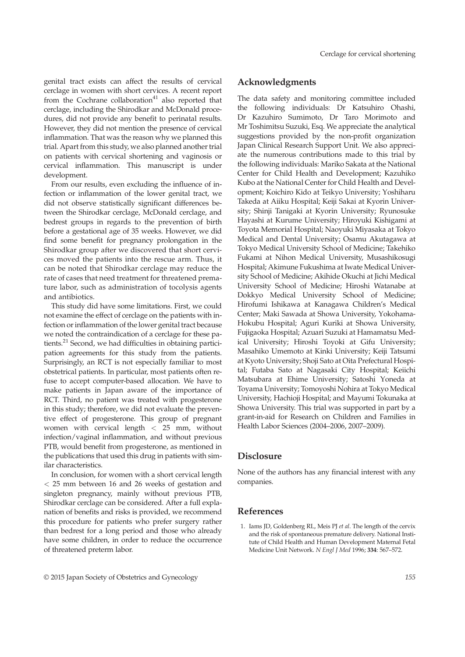genital tract exists can affect the results of cervical cerclage in women with short cervices. A recent report from the Cochrane collaboration $41$  also reported that cerclage, including the Shirodkar and McDonald procedures, did not provide any benefit to perinatal results. However, they did not mention the presence of cervical inflammation. That was the reason why we planned this trial. Apart from this study, we also planned another trial on patients with cervical shortening and vaginosis or cervical inflammation. This manuscript is under development.

From our results, even excluding the influence of infection or inflammation of the lower genital tract, we did not observe statistically significant differences between the Shirodkar cerclage, McDonald cerclage, and bedrest groups in regards to the prevention of birth before a gestational age of 35 weeks. However, we did find some benefit for pregnancy prolongation in the Shirodkar group after we discovered that short cervices moved the patients into the rescue arm. Thus, it can be noted that Shirodkar cerclage may reduce the rate of cases that need treatment for threatened premature labor, such as administration of tocolysis agents and antibiotics.

This study did have some limitations. First, we could not examine the effect of cerclage on the patients with infection or inflammation of the lower genital tract because we noted the contraindication of a cerclage for these patients.<sup>21</sup> Second, we had difficulties in obtaining participation agreements for this study from the patients. Surprisingly, an RCT is not especially familiar to most obstetrical patients. In particular, most patients often refuse to accept computer-based allocation. We have to make patients in Japan aware of the importance of RCT. Third, no patient was treated with progesterone in this study; therefore, we did not evaluate the preventive effect of progesterone. This group of pregnant women with cervical length < 25 mm, without infection/vaginal inflammation, and without previous PTB, would benefit from progesterone, as mentioned in the publications that used this drug in patients with similar characteristics.

In conclusion, for women with a short cervical length < 25 mm between 16 and 26 weeks of gestation and singleton pregnancy, mainly without previous PTB, Shirodkar cerclage can be considered. After a full explanation of benefits and risks is provided, we recommend this procedure for patients who prefer surgery rather than bedrest for a long period and those who already have some children, in order to reduce the occurrence of threatened preterm labor.

# Acknowledgments

The data safety and monitoring committee included the following individuals: Dr Katsuhiro Ohashi, Dr Kazuhiro Sumimoto, Dr Taro Morimoto and Mr Toshimitsu Suzuki, Esq. We appreciate the analytical suggestions provided by the non-profit organization Japan Clinical Research Support Unit. We also appreciate the numerous contributions made to this trial by the following individuals: Mariko Sakata at the National Center for Child Health and Development; Kazuhiko Kubo at the National Center for Child Health and Development; Koichiro Kido at Teikyo University; Yoshiharu Takeda at Aiiku Hospital; Keiji Sakai at Kyorin University; Shinji Tanigaki at Kyorin University; Ryunosuke Hayashi at Kurume University; Hiroyuki Kishigami at Toyota Memorial Hospital; Naoyuki Miyasaka at Tokyo Medical and Dental University; Osamu Akutagawa at Tokyo Medical University School of Medicine; Takehiko Fukami at Nihon Medical University, Musashikosugi Hospital; Akimune Fukushima at Iwate Medical University School of Medicine; Akihide Okuchi at Jichi Medical University School of Medicine; Hiroshi Watanabe at Dokkyo Medical University School of Medicine; Hirofumi Ishikawa at Kanagawa Children's Medical Center; Maki Sawada at Showa University, Yokohama-Hokubu Hospital; Aguri Kuriki at Showa University, Fujigaoka Hospital; Azuari Suzuki at Hamamatsu Medical University; Hiroshi Toyoki at Gifu University; Masahiko Umemoto at Kinki University; Keiji Tatsumi at Kyoto University; Shoji Sato at Oita Prefectural Hospital; Futaba Sato at Nagasaki City Hospital; Keiichi Matsubara at Ehime University; Satoshi Yoneda at Toyama University; Tomoyoshi Nohira at Tokyo Medical University, Hachioji Hospital; and Mayumi Tokunaka at Showa University. This trial was supported in part by a grant-in-aid for Research on Children and Families in Health Labor Sciences (2004–2006, 2007–2009).

## **Disclosure**

None of the authors has any financial interest with any companies.

#### References

1. Iams JD, Goldenberg RL, Meis PJ et al. The length of the cervix and the risk of spontaneous premature delivery. National Institute of Child Health and Human Development Maternal Fetal Medicine Unit Network. N Engl J Med 1996; 334: 567–572.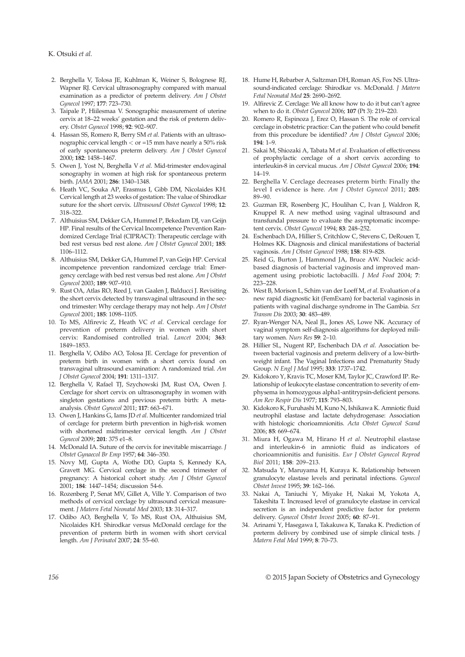- 2. Berghella V, Tolosa JE, Kuhlman K, Weiner S, Bolognese RJ, Wapner RJ. Cervical ultrasonography compared with manual examination as a predictor of preterm delivery. Am J Obstet Gynecol 1997; 177: 723–730.
- 3. Taipale P, Hiilesmaa V. Sonographic measurement of uterine cervix at 18–22 weeks' gestation and the risk of preterm delivery. Obstet Gynecol 1998; 92: 902–907.
- 4. Hassan SS, Romero R, Berry SM et al. Patients with an ultrasonographic cervical length  $\leq$  or =15 mm have nearly a 50% risk of early spontaneous preterm delivery. Am J Obstet Gynecol 2000; 182: 1458–1467.
- 5. Owen J, Yost N, Berghella V et al. Mid-trimester endovaginal sonography in women at high risk for spontaneous preterm birth. JAMA 2001; 286: 1340–1348.
- 6. Heath VC, Souka AP, Erasmus I, Gibb DM, Nicolaides KH. Cervical length at 23 weeks of gestation: The value of Shirodkar suture for the short cervix. Ultrasound Obstet Gynecol 1998; 12: 318–322.
- 7. Althuisius SM, Dekker GA, Hummel P, Bekedam DJ, van Geijn HP. Final results of the Cervical Incompetence Prevention Randomized Cerclage Trial (CIPRACT): Therapeutic cerclage with bed rest versus bed rest alone. Am J Obstet Gynecol 2001; 185: 1106–1112.
- 8. Althuisius SM, Dekker GA, Hummel P, van Geijn HP. Cervical incompetence prevention randomized cerclage trial: Emergency cerclage with bed rest versus bed rest alone. Am J Obstet Gynecol 2003; 189: 907–910.
- 9. Rust OA, Atlas RO, Reed J, van Gaalen J, Balducci J. Revisiting the short cervix detected by transvaginal ultrasound in the second trimester: Why cerclage therapy may not help. Am J Obstet Gynecol 2001; 185: 1098–1105.
- 10. To MS, Alfirevic Z, Heath VC et al. Cervical cerclage for prevention of preterm delivery in women with short cervix: Randomised controlled trial. Lancet 2004; 363: 1849–1853.
- 11. Berghella V, Odibo AO, Tolosa JE. Cerclage for prevention of preterm birth in women with a short cervix found on transvaginal ultrasound examination: A randomized trial. Am J Obstet Gynecol 2004; 191: 1311–1317.
- 12. Berghella V, Rafael TJ, Szychowski JM, Rust OA, Owen J. Cerclage for short cervix on ultrasonography in women with singleton gestations and previous preterm birth: A metaanalysis. Obstet Gynecol 2011; 117: 663–671.
- 13. Owen J, Hankins G, Iams JD et al. Multicenter randomized trial of cerclage for preterm birth prevention in high-risk women with shortened midtrimester cervical length. Am J Obstet Gynecol 2009; 201: 375 e1–8.
- 14. McDonald IA. Suture of the cervix for inevitable miscarriage. J Obstet Gynaecol Br Emp 1957; 64: 346–350.
- 15. Novy MJ, Gupta A, Wothe DD, Gupta S, Kennedy KA, Gravett MG. Cervical cerclage in the second trimester of pregnancy: A historical cohort study. Am J Obstet Gynecol 2001; 184: 1447–1454; discussion 54-6.
- 16. Rozenberg P, Senat MV, Gillet A, Ville Y. Comparison of two methods of cervical cerclage by ultrasound cervical measurement. J Matern Fetal Neonatal Med 2003; 13: 314–317.
- 17. Odibo AO, Berghella V, To MS, Rust OA, Althuisius SM, Nicolaides KH. Shirodkar versus McDonald cerclage for the prevention of preterm birth in women with short cervical length. Am J Perinatol 2007; 24: 55–60.
- 18. Hume H, Rebarber A, Saltzman DH, Roman AS, Fox NS. Ultrasound-indicated cerclage: Shirodkar vs. McDonald. J Matern Fetal Neonatal Med 25: 2690–2692.
- 19. Alfirevic Z. Cerclage: We all know how to do it but can't agree when to do it. Obstet Gynecol 2006; 107 (Pt 3): 219–220.
- 20. Romero R, Espinoza J, Erez O, Hassan S. The role of cervical cerclage in obstetric practice: Can the patient who could benefit from this procedure be identified? Am J Obstet Gynecol 2006; 194: 1–9.
- 21. Sakai M, Shiozaki A, Tabata M et al. Evaluation of effectiveness of prophylactic cerclage of a short cervix according to interleukin-8 in cervical mucus. Am J Obstet Gynecol 2006; 194: 14–19.
- 22. Berghella V. Cerclage decreases preterm birth: Finally the level I evidence is here. Am J Obstet Gynecol 2011; 205: 89–90.
- 23. Guzman ER, Rosenberg JC, Houlihan C, Ivan J, Waldron R, Knuppel R. A new method using vaginal ultrasound and transfundal pressure to evaluate the asymptomatic incompetent cervix. Obstet Gynecol 1994; 83: 248–252.
- 24. Eschenbach DA, Hillier S, Critchlow C, Stevens C, DeRouen T, Holmes KK. Diagnosis and clinical manifestations of bacterial vaginosis. Am J Obstet Gynecol 1988; 158: 819–828.
- 25. Reid G, Burton J, Hammond JA, Bruce AW. Nucleic acidbased diagnosis of bacterial vaginosis and improved management using probiotic lactobacilli. J Med Food 2004; 7: 223–228.
- 26. West B, Morison L, Schim van der Loeff M, et al. Evaluation of a new rapid diagnostic kit (FemExam) for bacterial vaginosis in patients with vaginal discharge syndrome in The Gambia. Sex Transm Dis 2003; 30: 483–489.
- 27. Ryan-Wenger NA, Neal JL, Jones AS, Lowe NK. Accuracy of vaginal symptom self-diagnosis algorithms for deployed military women. Nurs Res 59: 2–10.
- 28. Hillier SL, Nugent RP, Eschenbach DA et al. Association between bacterial vaginosis and preterm delivery of a low-birthweight infant. The Vaginal Infections and Prematurity Study Group. N Engl J Med 1995; 333: 1737–1742.
- 29. Kidokoro Y, Kravis TC, Moser KM, Taylor JC, Crawford IP. Relationship of leukocyte elastase concentration to severity of emphysema in homozygous alpha1-antitrypsin-deficient persons. Am Rev Respir Dis 1977; 115: 793–803.
- 30. Kidokoro K, Furuhashi M, Kuno N, Ishikawa K. Amniotic fluid neutrophil elastase and lactate dehydrogenase: Association with histologic chorioamnionitis. Acta Obstet Gynecol Scand 2006; 85: 669–674.
- 31. Miura H, Ogawa M, Hirano H et al. Neutrophil elastase and interleukin-6 in amniotic fluid as indicators of chorioamnionitis and funisitis. Eur J Obstet Gynecol Reprod Biol 2011; 158: 209–213.
- 32. Matsuda Y, Maruyama H, Kuraya K. Relationship between granulocyte elastase levels and perinatal infections. Gynecol Obstet Invest 1995; 39: 162–166.
- 33. Nakai A, Taniuchi Y, Miyake H, Nakai M, Yokota A, Takeshita T. Increased level of granulocyte elastase in cervical secretion is an independent predictive factor for preterm delivery. Gynecol Obstet Invest 2005; 60: 87–91.
- 34. Arinami Y, Hasegawa I, Takakuwa K, Tanaka K. Prediction of preterm delivery by combined use of simple clinical tests. J Matern Fetal Med 1999; 8: 70–73.